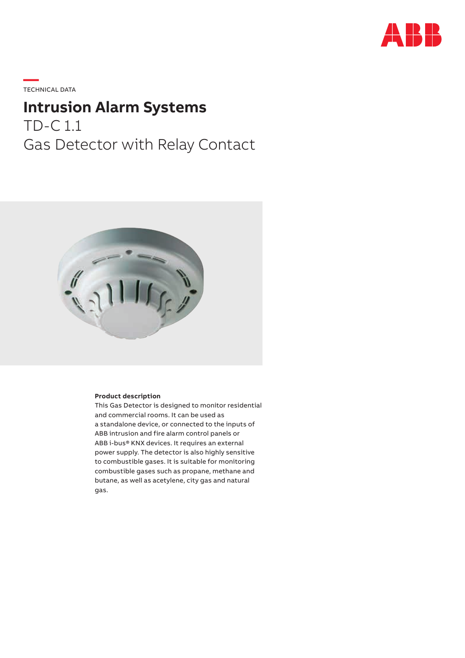

**—**  TECHNICAL DATA

# **Intrusion Alarm Systems** TD-C 1.1 Gas Detector with Relay Contact



#### **Product description**

This Gas Detector is designed to monitor residential and commercial rooms. It can be used as a standalone device, or connected to the inputs of ABB intrusion and fire alarm control panels or ABB i‑bus® KNX devices. It requires an external power supply. The detector is also highly sensitive to combustible gases. It is suitable for monitoring combustible gases such as propane, methane and butane, as well as acetylene, city gas and natural gas.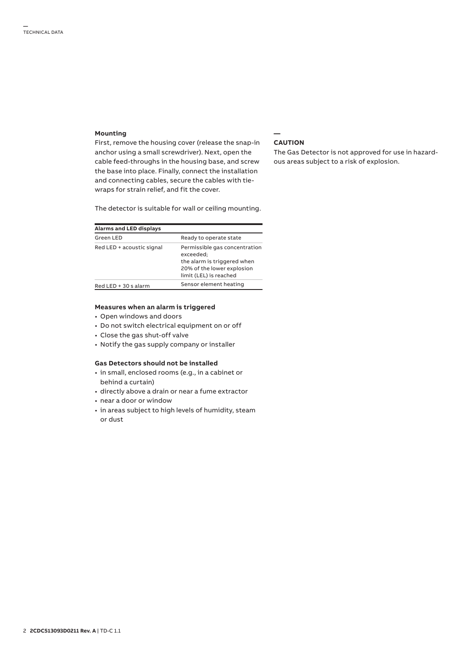#### **Mounting**

First, remove the housing cover (release the snap-in anchor using a small screwdriver). Next, open the cable feed-throughs in the housing base, and screw the base into place. Finally, connect the installation and connecting cables, secure the cables with tiewraps for strain relief, and fit the cover.

The detector is suitable for wall or ceiling mounting.

| <b>Alarms and LED displays</b> |                                                                                                                                   |
|--------------------------------|-----------------------------------------------------------------------------------------------------------------------------------|
| Green LED                      | Ready to operate state                                                                                                            |
| Red LED + acoustic signal      | Permissible gas concentration<br>exceeded:<br>the alarm is triggered when<br>20% of the lower explosion<br>limit (LEL) is reached |
| Red LED + 30 s alarm           | Sensor element heating                                                                                                            |

#### **Measures when an alarm is triggered**

- Open windows and doors
- Do not switch electrical equipment on or off
- Close the gas shut-off valve
- Notify the gas supply company or installer

#### **Gas Detectors should not be installed**

- in small, enclosed rooms (e.g., in a cabinet or behind a curtain)
- directly above a drain or near a fume extractor
- near a door or window
- in areas subject to high levels of humidity, steam or dust

#### **— CAUTION**

The Gas Detector is not approved for use in hazardous areas subject to a risk of explosion.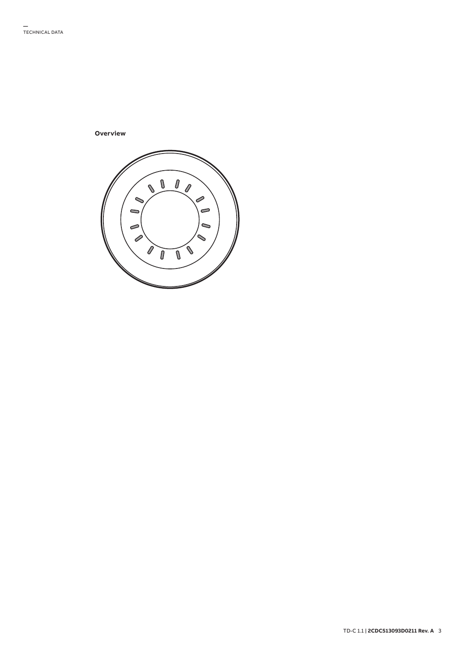**Overview**

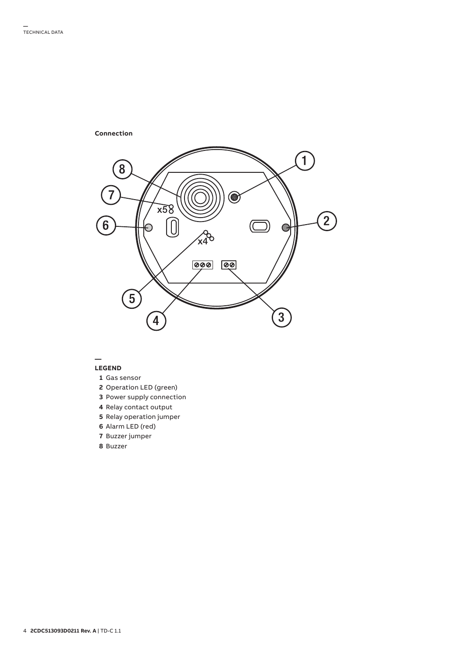

## **LEGEND**

**—**

- **1** Gas sensor
- **2** Operation LED (green)
- **3** Power supply connection
- **4** Relay contact output
- **5** Relay operation jumper
- **6** Alarm LED (red)
- **7** Buzzer jumper
- **8** Buzzer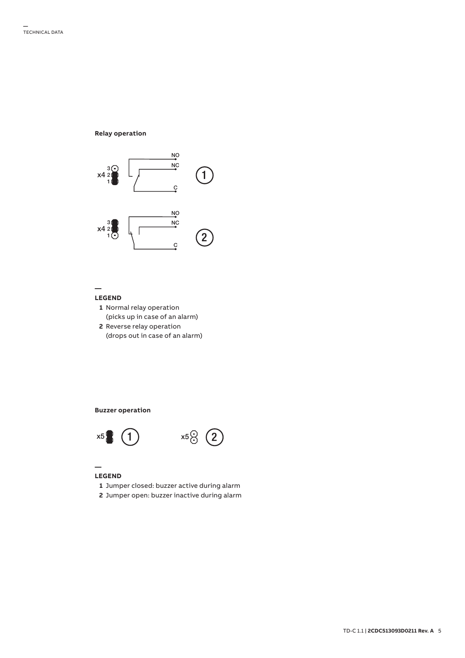**Relay operation**



## **LEGEND**

**—**

- **1** Normal relay operation (picks up in case of an alarm)
- **2** Reverse relay operation (drops out in case of an alarm)

## **Buzzer operation**





## **LEGEND**

**—**

- **1** Jumper closed: buzzer active during alarm
- 2 Jumper open: buzzer inactive during alarm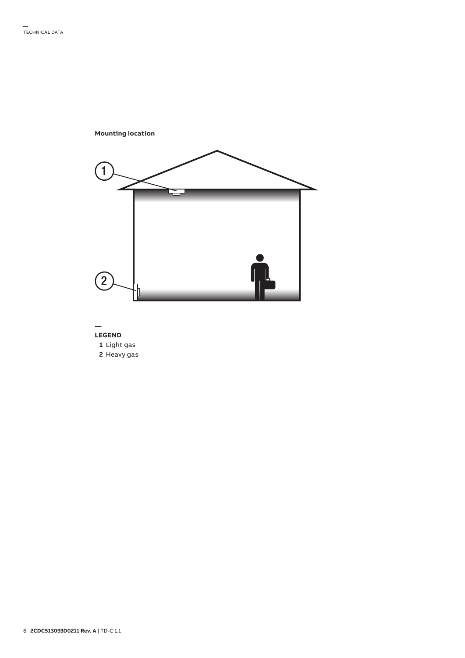

#### **— LEGEND**

- **1** Light gas
- **2** Heavy gas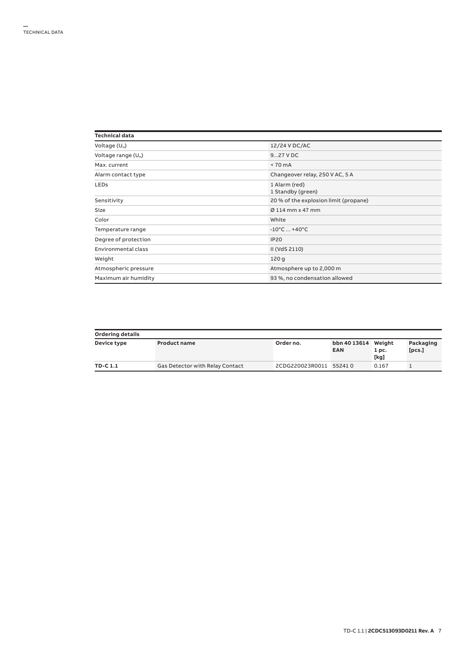| Technical data        |                                       |
|-----------------------|---------------------------------------|
| Voltage $(U_n)$       | 12/24 V DC/AC                         |
| Voltage range $(U_n)$ | 927 V DC                              |
| Max. current          | $< 70 \text{ mA}$                     |
| Alarm contact type    | Changeover relay, 250 V AC, 5 A       |
| <b>LEDs</b>           | 1 Alarm (red)<br>1 Standby (green)    |
| Sensitivity           | 20 % of the explosion limit (propane) |
| <b>Size</b>           | $\varnothing$ 114 mm x 47 mm          |
| Color                 | White                                 |
| Temperature range     | $-10^{\circ}$ C $ + 40^{\circ}$ C     |
| Degree of protection  | <b>IP20</b>                           |
| Environmental class   | II (VdS 2110)                         |
| Weight                | 120q                                  |
| Atmospheric pressure  | Atmosphere up to 2,000 m              |
| Maximum air humidity  | 93 %, no condensation allowed         |

| <b>Ordering details</b> |                                 |                        |                                   |               |                     |  |  |
|-------------------------|---------------------------------|------------------------|-----------------------------------|---------------|---------------------|--|--|
| Device type             | <b>Product name</b>             | Order no.              | bbn 40 13614 Weight<br><b>EAN</b> | 1 pc.<br>[kg] | Packaging<br>[pcs.] |  |  |
| TD-C 1.1                | Gas Detector with Relay Contact | 2CDG220023R0011 552410 |                                   | 0.167         |                     |  |  |